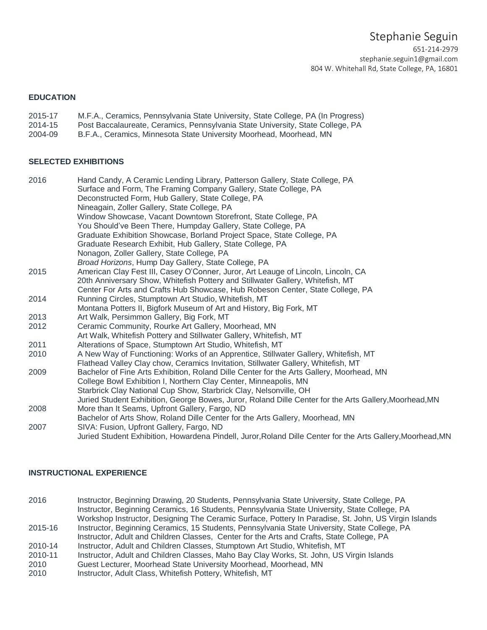# Stephanie Seguin

651-214-2979 [stephanie.seguin1@gmail.com](mailto:stephanie.seguin1@gmail.com) 804 W. Whitehall Rd, State College, PA, 16801

# **EDUCATION**

- 2015-17 M.F.A., Ceramics, Pennsylvania State University, State College, PA (In Progress)
- 2014-15 Post Baccalaureate, Ceramics, Pennsylvania State University, State College, PA
- 2004-09 B.F.A., Ceramics, Minnesota State University Moorhead, Moorhead, MN

## **SELECTED EXHIBITIONS**

| 2016 | Hand Candy, A Ceramic Lending Library, Patterson Gallery, State College, PA                                 |
|------|-------------------------------------------------------------------------------------------------------------|
|      | Surface and Form, The Framing Company Gallery, State College, PA                                            |
|      | Deconstructed Form, Hub Gallery, State College, PA                                                          |
|      | Nineagain, Zoller Gallery, State College, PA                                                                |
|      | Window Showcase, Vacant Downtown Storefront, State College, PA                                              |
|      | You Should've Been There, Humpday Gallery, State College, PA                                                |
|      | Graduate Exhibition Showcase, Borland Project Space, State College, PA                                      |
|      | Graduate Research Exhibit, Hub Gallery, State College, PA                                                   |
|      | Nonagon, Zoller Gallery, State College, PA                                                                  |
|      | Broad Horizons, Hump Day Gallery, State College, PA                                                         |
| 2015 | American Clay Fest III, Casey O'Conner, Juror, Art Leauge of Lincoln, Lincoln, CA                           |
|      | 20th Anniversary Show, Whitefish Pottery and Stillwater Gallery, Whitefish, MT                              |
|      | Center For Arts and Crafts Hub Showcase, Hub Robeson Center, State College, PA                              |
| 2014 | Running Circles, Stumptown Art Studio, Whitefish, MT                                                        |
|      | Montana Potters II, Bigfork Museum of Art and History, Big Fork, MT                                         |
| 2013 | Art Walk, Persimmon Gallery, Big Fork, MT                                                                   |
| 2012 | Ceramic Community, Rourke Art Gallery, Moorhead, MN                                                         |
|      | Art Walk, Whitefish Pottery and Stillwater Gallery, Whitefish, MT                                           |
| 2011 | Alterations of Space, Stumptown Art Studio, Whitefish, MT                                                   |
| 2010 | A New Way of Functioning: Works of an Apprentice, Stillwater Gallery, Whitefish, MT                         |
|      | Flathead Valley Clay chow, Ceramics Invitation, Stillwater Gallery, Whitefish, MT                           |
| 2009 | Bachelor of Fine Arts Exhibition, Roland Dille Center for the Arts Gallery, Moorhead, MN                    |
|      | College Bowl Exhibition I, Northern Clay Center, Minneapolis, MN                                            |
|      | Starbrick Clay National Cup Show, Starbrick Clay, Nelsonville, OH                                           |
|      | Juried Student Exhibition, George Bowes, Juror, Roland Dille Center for the Arts Gallery, Moorhead, MN      |
| 2008 | More than It Seams, Upfront Gallery, Fargo, ND                                                              |
|      | Bachelor of Arts Show, Roland Dille Center for the Arts Gallery, Moorhead, MN                               |
| 2007 | SIVA: Fusion, Upfront Gallery, Fargo, ND                                                                    |
|      | Juried Student Exhibition, Howardena Pindell, Juror, Roland Dille Center for the Arts Gallery, Moorhead, MN |

## **INSTRUCTIONAL EXPERIENCE**

2016 Instructor, Beginning Drawing, 20 Students, Pennsylvania State University, State College, PA Instructor, Beginning Ceramics, 16 Students, Pennsylvania State University, State College, PA Workshop Instructor, Designing The Ceramic Surface, Pottery In Paradise, St. John, US Virgin Islands 2015-16 Instructor, Beginning Ceramics, 15 Students, Pennsylvania State University, State College, PA

- Instructor, Adult and Children Classes, Center for the Arts and Crafts, State College, PA
- 2010-14 Instructor, Adult and Children Classes, Stumptown Art Studio, Whitefish, MT
- 2010-11 Instructor, Adult and Children Classes, Maho Bay Clay Works, St. John, US Virgin Islands
- 2010 Guest Lecturer, Moorhead State University Moorhead, Moorhead, MN
- 2010 Instructor, Adult Class, Whitefish Pottery, Whitefish, MT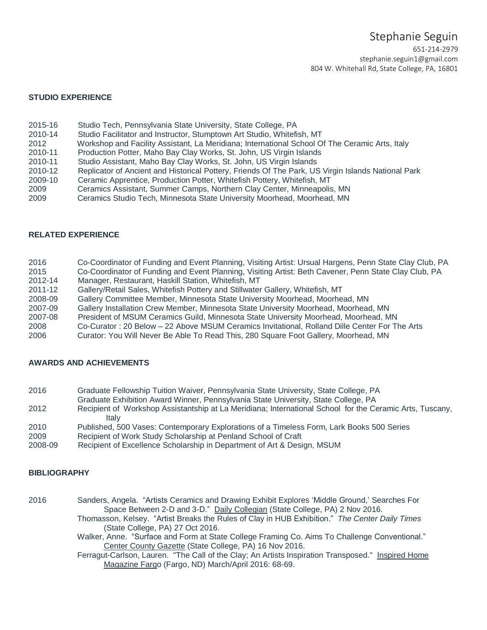651-214-2979 [stephanie.seguin1@gmail.com](mailto:stephanie.seguin1@gmail.com) 804 W. Whitehall Rd, State College, PA, 16801

# **STUDIO EXPERIENCE**

- 2015-16 Studio Tech, Pennsylvania State University, State College, PA
- 2010-14 Studio Facilitator and Instructor, Stumptown Art Studio, Whitefish, MT
- 2012 Workshop and Facility Assistant, La Meridiana; International School Of The Ceramic Arts, Italy
- 2010-11 Production Potter, Maho Bay Clay Works, St. John, US Virgin Islands
- 2010-11 Studio Assistant, Maho Bay Clay Works, St. John, US Virgin Islands
- 2010-12 Replicator of Ancient and Historical Pottery, Friends Of The Park, US Virgin Islands National Park
- 2009-10 Ceramic Apprentice, Production Potter, Whitefish Pottery, Whitefish, MT
- 2009 Ceramics Assistant, Summer Camps, Northern Clay Center, Minneapolis, MN
- 2009 Ceramics Studio Tech, Minnesota State University Moorhead, Moorhead, MN

### **RELATED EXPERIENCE**

| 2016    | Co-Coordinator of Funding and Event Planning, Visiting Artist: Ursual Hargens, Penn State Clay Club, PA |
|---------|---------------------------------------------------------------------------------------------------------|
| 2015    | Co-Coordinator of Funding and Event Planning, Visiting Artist: Beth Cavener, Penn State Clay Club, PA   |
| 2012-14 | Manager, Restaurant, Haskill Station, Whitefish, MT                                                     |
| 2011-12 | Gallery/Retail Sales, Whitefish Pottery and Stillwater Gallery, Whitefish, MT                           |
| 2008-09 | Gallery Committee Member, Minnesota State University Moorhead, Moorhead, MN                             |
| 2007-09 | Gallery Installation Crew Member, Minnesota State University Moorhead, Moorhead, MN                     |
| 2007-08 | President of MSUM Ceramics Guild, Minnesota State University Moorhead, Moorhead, MN                     |
| 2008    | Co-Curator: 20 Below - 22 Above MSUM Ceramics Invitational, Rolland Dille Center For The Arts           |
| 2006    | Curator: You Will Never Be Able To Read This, 280 Square Foot Gallery, Moorhead, MN                     |

## **AWARDS AND ACHIEVEMENTS**

- 2016 Graduate Fellowship Tuition Waiver, Pennsylvania State University, State College, PA
- Graduate Exhibition Award Winner, Pennsylvania State University, State College, PA
- 2012 Recipient of Workshop Assistantship at La Meridiana; International School for the Ceramic Arts, Tuscany, Italy
- 2010 Published, 500 Vases: Contemporary Explorations of a Timeless Form, Lark Books 500 Series
- 2009 Recipient of Work Study Scholarship at Penland School of Craft
- 2008-09 Recipient of Excellence Scholarship in Department of Art & Design, MSUM

#### **BIBLIOGRAPHY**

2016 Sanders, Angela. "Artists Ceramics and Drawing Exhibit Explores 'Middle Ground,' Searches For Space Between 2-D and 3-D." Daily Collegian (State College, PA) 2 Nov 2016. Thomasson, Kelsey. "Artist Breaks the Rules of Clay in HUB Exhibition." *The Center Daily Times* (State College, PA) 27 Oct 2016.

> Walker, Anne. "Surface and Form at State College Framing Co. Aims To Challenge Conventional." Center County Gazette (State College, PA) 16 Nov 2016.

> Ferragut-Carlson, Lauren. "The Call of the Clay; An Artists Inspiration Transposed." Inspired Home Magazine Fargo (Fargo, ND) March/April 2016: 68-69.